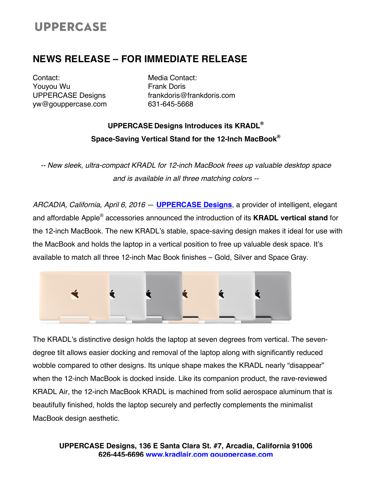# **UPPERCASE**

### **NEWS RELEASE – FOR IMMEDIATE RELEASE**

Contact: Youyou Wu UPPERCASE Designs yw@gouppercase.com Media Contact: Frank Doris frankdoris@frankdoris.com 631-645-5668

## **UPPERCASE Designs Introduces its KRADL® Space-Saving Vertical Stand for the 12-Inch MacBook®**

*-- New sleek, ultra-compact KRADL for 12-inch MacBook frees up valuable desktop space and is available in all three matching colors --*

*ARCADIA, California, April 6, 2016* — **UPPERCASE Designs**, a provider of intelligent, elegant and affordable Apple® accessories announced the introduction of its **KRADL vertical stand** for the 12-inch MacBook. The new KRADL's stable, space-saving design makes it ideal for use with the MacBook and holds the laptop in a vertical position to free up valuable desk space. It's available to match all three 12-inch Mac Book finishes – Gold, Silver and Space Gray.



The KRADL's distinctive design holds the laptop at seven degrees from vertical. The sevendegree tilt allows easier docking and removal of the laptop along with significantly reduced wobble compared to other designs. Its unique shape makes the KRADL nearly "disappear" when the 12-inch MacBook is docked inside. Like its companion product, the rave-reviewed KRADL Air, the 12-inch MacBook KRADL is machined from solid aerospace aluminum that is beautifully finished, holds the laptop securely and perfectly complements the minimalist MacBook design aesthetic.

**UPPERCASE Designs, 136 E Santa Clara St. #7, Arcadia, California 91006 626-445-6696 www.kradlair.com gouppercase.com**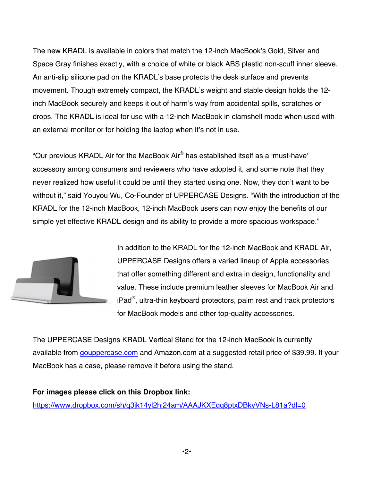The new KRADL is available in colors that match the 12-inch MacBook's Gold, Silver and Space Gray finishes exactly, with a choice of white or black ABS plastic non-scuff inner sleeve. An anti-slip silicone pad on the KRADL's base protects the desk surface and prevents movement. Though extremely compact, the KRADL's weight and stable design holds the 12 inch MacBook securely and keeps it out of harm's way from accidental spills, scratches or drops. The KRADL is ideal for use with a 12-inch MacBook in clamshell mode when used with an external monitor or for holding the laptop when it's not in use.

"Our previous KRADL Air for the MacBook Air® has established itself as a 'must-have' accessory among consumers and reviewers who have adopted it, and some note that they never realized how useful it could be until they started using one. Now, they don't want to be without it," said Youyou Wu, Co-Founder of UPPERCASE Designs. "With the introduction of the KRADL for the 12-inch MacBook, 12-inch MacBook users can now enjoy the benefits of our simple yet effective KRADL design and its ability to provide a more spacious workspace."



In addition to the KRADL for the 12-inch MacBook and KRADL Air, UPPERCASE Designs offers a varied lineup of Apple accessories that offer something different and extra in design, functionality and value. These include premium leather sleeves for MacBook Air and iPad<sup>®</sup>, ultra-thin keyboard protectors, palm rest and track protectors for MacBook models and other top-quality accessories.

The UPPERCASE Designs KRADL Vertical Stand for the 12-inch MacBook is currently available from gouppercase.com and Amazon.com at a suggested retail price of \$39.99. If your MacBook has a case, please remove it before using the stand.

#### **For images please click on this Dropbox link:**

https://www.dropbox.com/sh/q3jk14yl2hj24am/AAAJKXEqq8ptxDBkyVNs-L81a?dl=0